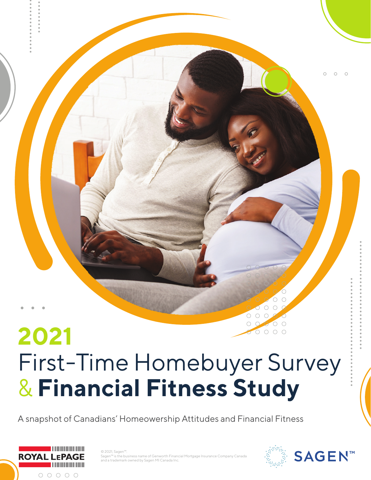# **2021** First-Time Homebuyer Survey & **Financial Fitness Study**

A snapshot of Canadians' Homeowership Attitudes and Financial Fitness



© 2021, Sagen Sagen™ is the business name of Genworth Financial Mortgage Insurance Company Canada and a trademark owned by Sagen MI Canada Inc.



 $\bigcirc$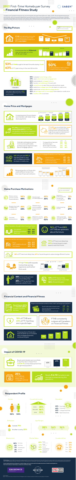### **Home Price and Mortgages**

 $\begin{matrix} 0 & 0 & 0 \end{matrix}$ 



**Impact of COVID-19**  $0$  0 0

 $O$   $O$   $O$ 



Became financially confident that I could afford it



Got a new job/raise/bonus



## **Financial Context and Financial Fitness**



 $0$  0 0

**56%** of FTI and **46%**  of FTHB are optimistic about the future

**Methodology:** A total of 1,856 interviews with Canadians aged 25-40 who either purchased their first home within the prior two years or plan to in the next two years. Online interviewing was completed between February 17 and March 16, 2021. Quotas were set to oversample in urban regions with weighting tobring them into overall national representative distributions.

**Study completed by Environics Research on behalf of Sagen and in association with the Canadian Association of Credit Counselling Services. First-time homebuyer study findings in collaboration with Royal LePage.**







**48%** of recent buyers are much more likely than **38%** of FTI to see their first home as a starter home



**FTI (77%)** are more likely than **recent buyers (65%)** to use their own/partner's savings/non-registered investments for their down payment



**Recent buyers (53%)**  and **intenders (55%)**  are able to pay bills and save

**62%** of buyers and **59%** of intenders prefer to work with mortgage specialists at a bank or credit union



Ene

 $00000$  $0 0 0 0 0$  $00000$ 





| Filexibility more than buyers |             |            |
|-------------------------------|-------------|------------|
|                               | <b>FTHB</b> | <b>FTI</b> |
| ent flexibility               | 82%         | 84%        |
| er or shorter amortizations   | 67%         | 73%        |
| ss to home equity             | 65%         | 69%        |
| gy saving mortgages           | $149\%$     | 60%        |
|                               |             |            |



 $\circ$   $\circ$ 

|   | What Canadians thought about buying a home: |         |         |
|---|---------------------------------------------|---------|---------|
|   |                                             | 2021    | 2020    |
| S | Good time                                   |         | 25% 33% |
| L | Neither good/bad                            | 28% 28% |         |
|   | <b>Bad time</b>                             |         | 37% 30% |
|   |                                             |         |         |





Canadians said the main reasons to choose a home is:



**82%** of FTI are more likely than **69%** of recent buyers to value energy efficient homes



**FTI** & **FTHB** shift towards homes that are less expensive and further from work

**70%** of FTI are more likely than **64%** of recent buyers to want space to work from home



Increasing prices for purchasers and intenders with faster rising down payments

> **FTI (49%)** are more likely than **recent buyers (43%)** to say they will delay buying a home until they save up a larger down payment themselves if they don't receive a gift/loan



Pay off credit cards in full each month Pay more than the minimum, but less than the maximum Pay only the minimum each month **64% 65% 25% 24% 7% 4%** FTHB FTI



**53%** of FTI favour fully detached homes more than **46%** of recent buyers



 $000$  $O$   $O$   $O$  $\circ$   $\circ$  $000$  $\begin{array}{ccc} \circ & \circ & \circ \end{array}$  $\begin{array}{ccc} \circ & \circ & \circ \end{array}$  $\circ \circ \circ$  $\circ \circ \circ$  $\circ \circ \circ$ 

closer to work



**\$452K \$480K** Down payment • Mortgage prices **\$385K \$402K \$406K \$360K \$318K** Average home **\$323K \$326K \$96K \$92K \$76K \$83K \$59K** 2015 2017 2019 2021 FTHB 2021 FTI

Believe owning a home is a wiser financial decision



#### $0 0 0 0 0$  $\circ \circ \circ \circ \circ \circ$  $00000$  $00000$ **Home Purchase Motivations**  $\begin{array}{ccc} \circ & \circ & \circ & \circ & \circ \end{array}$

Rising proportion of those who used a different lender than their main Financial Institution **42%**

Intenders anticipate accessing more sources, particularly professionals to help them learn about mortgage options

|                              | <b>FTHB</b> | FП  |  |
|------------------------------|-------------|-----|--|
| Mortgage/Broker Specialist   | 78%         | 81% |  |
| Real Estate Agent            | 69%         | 73% |  |
| <b>Bank/Credit Union Rep</b> | 63%         | 71% |  |
| Financial Planner/Advisor    | 54%         | 68% |  |



Canadians and Canadian homeowners are now showing their strongest financial fitness to-date. COVID-19 has impacted many buyers and intenders, with some saying it helped them save and buy their home sooner than expected. Compared to recent buyers, intenders

 $\circ \circ \circ \circ \circ$  $\circ \circ \circ \circ \circ \circ$  $000000$ 

**SAGEN**<sup>™</sup>

 $\bigcirc$ 

**2021** First-Time Homebuyer Survey

& **Financial Fitness Study**

Average home prices



**72%** of FTHB and **65%** of FTI feel they are in good shape



FTHB consistently outpace all Canadians on Financial Fitness



The proportion of those who have doubled-up or increased their mortgage payments continues to grow

Buyers and intenders are more likely

to say they saw no impact from **COVID-19** on their employment than the general population



 $0 0 0 0 0 0 0 0 0 0$  $0000000000$  $0 0 0 0 0 0 0 0 0 0$  $0 0 0 0 0 0 0 0 0 0$ 



**71%**